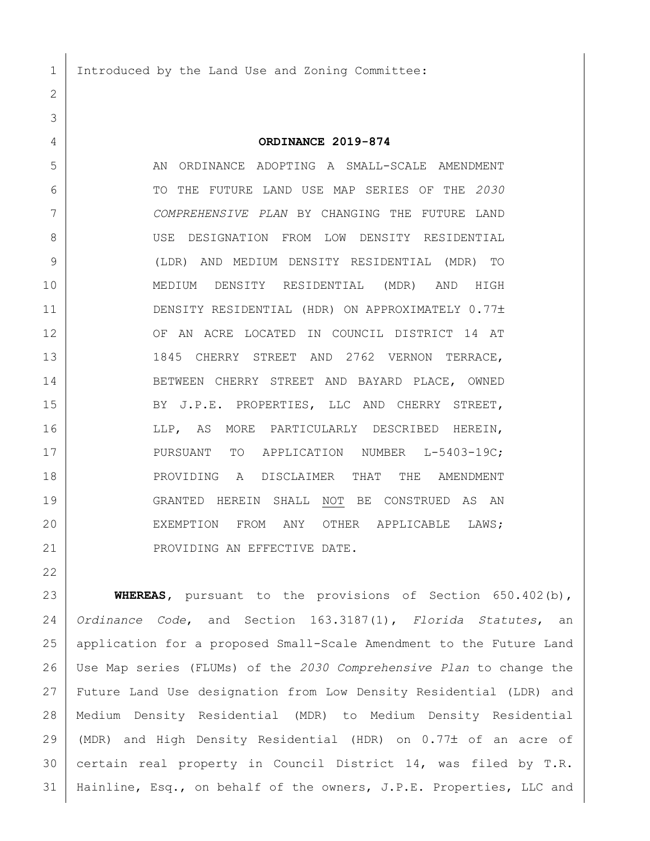Introduced by the Land Use and Zoning Committee:

## **ORDINANCE 2019-874**

 AN ORDINANCE ADOPTING A SMALL-SCALE AMENDMENT TO THE FUTURE LAND USE MAP SERIES OF THE *2030 COMPREHENSIVE PLAN* BY CHANGING THE FUTURE LAND USE DESIGNATION FROM LOW DENSITY RESIDENTIAL (LDR) AND MEDIUM DENSITY RESIDENTIAL (MDR) TO MEDIUM DENSITY RESIDENTIAL (MDR) AND HIGH 11 DENSITY RESIDENTIAL (HDR) ON APPROXIMATELY 0.77± 12 OF AN ACRE LOCATED IN COUNCIL DISTRICT 14 AT 13 1845 CHERRY STREET AND 2762 VERNON TERRACE, 14 BETWEEN CHERRY STREET AND BAYARD PLACE, OWNED 15 BY J.P.E. PROPERTIES, LLC AND CHERRY STREET, 16 LLP, AS MORE PARTICULARLY DESCRIBED HEREIN, 17 PURSUANT TO APPLICATION NUMBER L-5403-19C; 18 PROVIDING A DISCLAIMER THAT THE AMENDMENT GRANTED HEREIN SHALL NOT BE CONSTRUED AS AN 20 EXEMPTION FROM ANY OTHER APPLICABLE LAWS; 21 | PROVIDING AN EFFECTIVE DATE.

 **WHEREAS,** pursuant to the provisions of Section 650.402(b), *Ordinance Code*, and Section 163.3187(1), *Florida Statutes*, an application for a proposed Small-Scale Amendment to the Future Land Use Map series (FLUMs) of the *2030 Comprehensive Plan* to change the Future Land Use designation from Low Density Residential (LDR) and Medium Density Residential (MDR) to Medium Density Residential 29 (MDR) and High Density Residential (HDR) on  $0.77\pm$  of an acre of certain real property in Council District 14, was filed by T.R. 31 | Hainline, Esq., on behalf of the owners, J.P.E. Properties, LLC and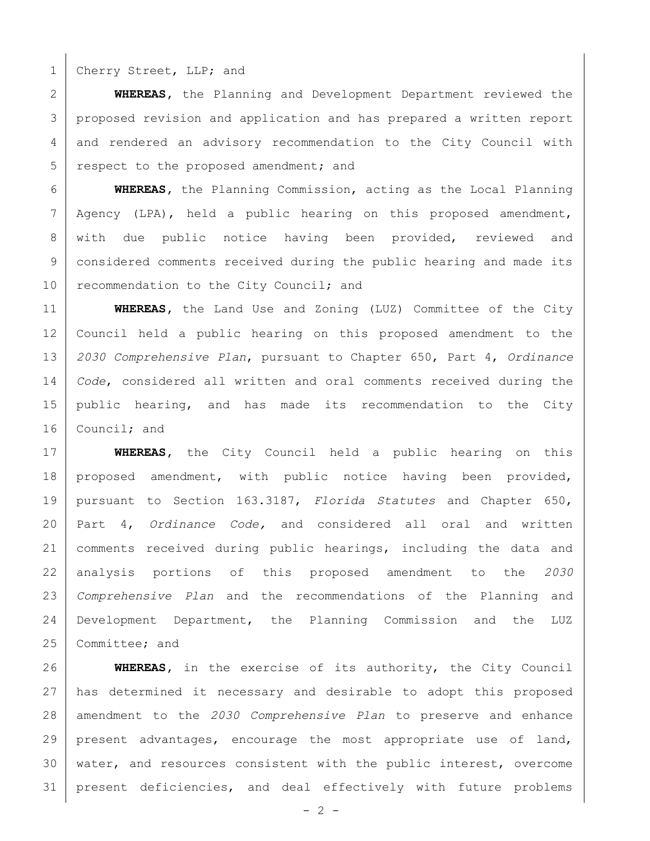1 Cherry Street, LLP; and

 **WHEREAS,** the Planning and Development Department reviewed the proposed revision and application and has prepared a written report and rendered an advisory recommendation to the City Council with 5 respect to the proposed amendment; and

 **WHEREAS,** the Planning Commission, acting as the Local Planning Agency (LPA), held a public hearing on this proposed amendment, with due public notice having been provided, reviewed and considered comments received during the public hearing and made its 10 recommendation to the City Council; and

 **WHEREAS,** the Land Use and Zoning (LUZ) Committee of the City Council held a public hearing on this proposed amendment to the *2030 Comprehensive Plan*, pursuant to Chapter 650, Part 4, *Ordinance Code*, considered all written and oral comments received during the public hearing, and has made its recommendation to the City 16 | Council; and

 **WHEREAS,** the City Council held a public hearing on this proposed amendment, with public notice having been provided, pursuant to Section 163.3187, *Florida Statutes* and Chapter 650, Part 4, *Ordinance Code,* and considered all oral and written comments received during public hearings, including the data and analysis portions of this proposed amendment to the *2030 Comprehensive Plan* and the recommendations of the Planning and Development Department, the Planning Commission and the LUZ 25 Committee; and

 **WHEREAS,** in the exercise of its authority, the City Council has determined it necessary and desirable to adopt this proposed amendment to the *2030 Comprehensive Plan* to preserve and enhance present advantages, encourage the most appropriate use of land, water, and resources consistent with the public interest, overcome present deficiencies, and deal effectively with future problems

 $- 2 -$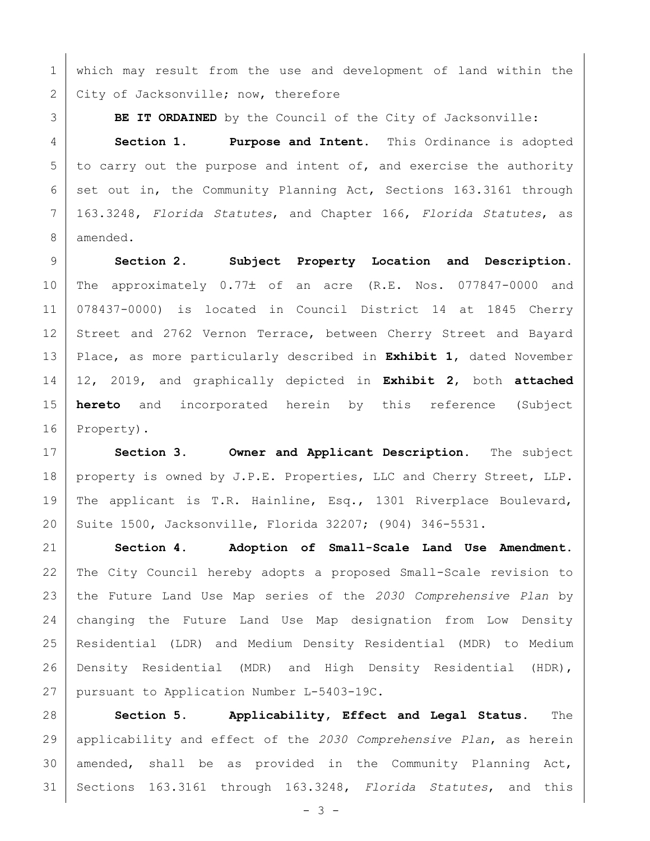which may result from the use and development of land within the 2 City of Jacksonville; now, therefore

**BE IT ORDAINED** by the Council of the City of Jacksonville:

 **Section 1. Purpose and Intent.** This Ordinance is adopted to carry out the purpose and intent of, and exercise the authority 6 set out in, the Community Planning Act, Sections 163.3161 through 163.3248, *Florida Statutes*, and Chapter 166, *Florida Statutes*, as amended.

 **Section 2. Subject Property Location and Description.** 10 | The approximately 0.77± of an acre (R.E. Nos. 077847-0000 and 078437-0000) is located in Council District 14 at 1845 Cherry 12 Street and 2762 Vernon Terrace, between Cherry Street and Bayard Place, as more particularly described in **Exhibit 1**, dated November 12, 2019, and graphically depicted in **Exhibit 2**, both **attached hereto** and incorporated herein by this reference (Subject 16 Property).

 **Section 3. Owner and Applicant Description.** The subject 18 | property is owned by J.P.E. Properties, LLC and Cherry Street, LLP. The applicant is T.R. Hainline, Esq., 1301 Riverplace Boulevard, Suite 1500, Jacksonville, Florida 32207; (904) 346-5531.

 **Section 4. Adoption of Small-Scale Land Use Amendment.**  The City Council hereby adopts a proposed Small-Scale revision to the Future Land Use Map series of the *2030 Comprehensive Plan* by changing the Future Land Use Map designation from Low Density Residential (LDR) and Medium Density Residential (MDR) to Medium Density Residential (MDR) and High Density Residential (HDR), pursuant to Application Number L-5403-19C.

 **Section 5. Applicability, Effect and Legal Status.** The applicability and effect of the *2030 Comprehensive Plan*, as herein amended, shall be as provided in the Community Planning Act, Sections 163.3161 through 163.3248, *Florida Statutes*, and this

 $- 3 -$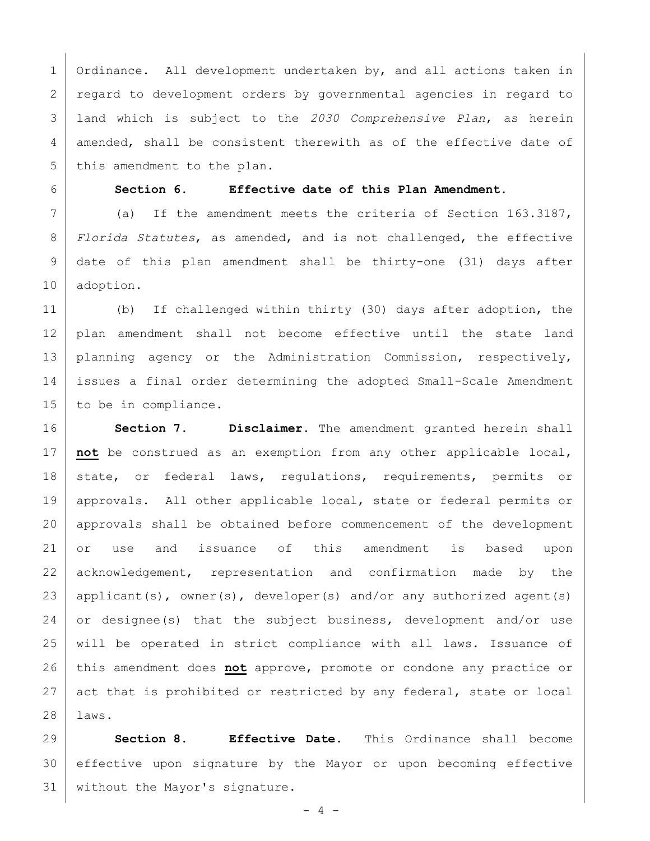Ordinance. All development undertaken by, and all actions taken in 2 regard to development orders by governmental agencies in regard to land which is subject to the *2030 Comprehensive Plan*, as herein amended, shall be consistent therewith as of the effective date of 5 this amendment to the plan.

## **Section 6. Effective date of this Plan Amendment.**

 (a) If the amendment meets the criteria of Section 163.3187, *Florida Statutes*, as amended, and is not challenged, the effective date of this plan amendment shall be thirty-one (31) days after adoption.

 (b) If challenged within thirty (30) days after adoption, the plan amendment shall not become effective until the state land 13 | planning agency or the Administration Commission, respectively, issues a final order determining the adopted Small-Scale Amendment to be in compliance.

 **Section 7. Disclaimer.** The amendment granted herein shall **not** be construed as an exemption from any other applicable local, 18 state, or federal laws, regulations, requirements, permits or approvals. All other applicable local, state or federal permits or approvals shall be obtained before commencement of the development or use and issuance of this amendment is based upon 22 acknowledgement, representation and confirmation made by the 23 | applicant(s), owner(s), developer(s) and/or any authorized agent(s) 24 or designee(s) that the subject business, development and/or use will be operated in strict compliance with all laws. Issuance of this amendment does **not** approve, promote or condone any practice or act that is prohibited or restricted by any federal, state or local laws.

 **Section 8. Effective Date.** This Ordinance shall become effective upon signature by the Mayor or upon becoming effective 31 | without the Mayor's signature.

- 4 -